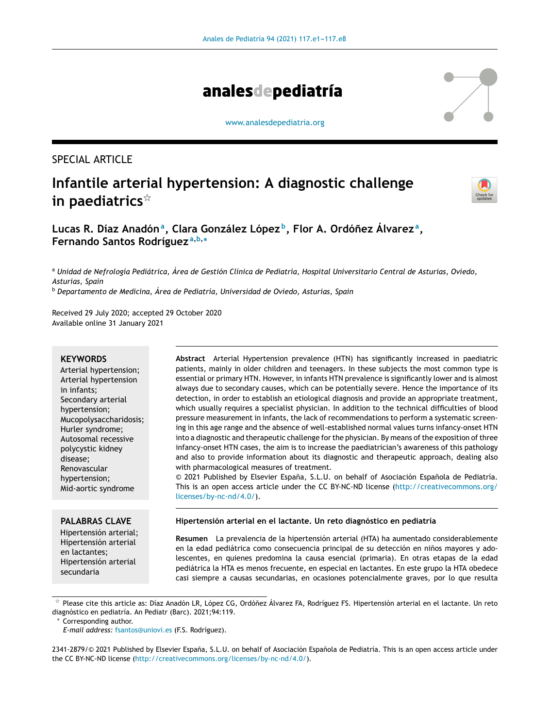

[www.analesdepediatria.org](http://www.analesdepediatria.org)

# SPECIAL ARTICLE

# **Infantile arterial hypertension: A diagnostic challenge in paediatrics**-



**Lucas R. Díaz Anadón<sup>a</sup> , Clara González López <sup>b</sup> , Flor A. Ordónez ˜ Álvarez <sup>a</sup> , Fernando Santos Rodríguez <sup>a</sup>**,**b**,<sup>∗</sup>

<sup>a</sup> Unidad de Nefrología Pediátrica, Área de Gestión Clínica de Pediatría, Hospital Universitario Central de Asturias, Oviedo, *Asturias, Spain*

<sup>b</sup> *Departamento de Medicina, Área de Pediatría, Universidad de Oviedo, Asturias, Spain*

Received 29 July 2020; accepted 29 October 2020 Available online 31 January 2021

#### **KEYWORDS**

Arterial hypertension; Arterial hypertension in infants; Secondary arterial hypertension; Mucopolysaccharidosis; Hurler syndrome; Autosomal recessive polycystic kidney disease; Renovascular hypertension; Mid-aortic syndrome

**Abstract** Arterial Hypertension prevalence (HTN) has significantly increased in paediatric patients, mainly in older children and teenagers. In these subjects the most common type is essential or primary HTN. However, in infants HTN prevalence is significantly lower and is almost always due to secondary causes, which can be potentially severe. Hence the importance of its detection, in order to establish an etiological diagnosis and provide an appropriate treatment, which usually requires a specialist physician. In addition to the technical difficulties of blood pressure measurement in infants, the lack of recommendations to perform a systematic screening in this age range and the absence of well-established normal values turns infancy-onset HTN into a diagnostic and therapeutic challenge for the physician. By means of the exposition of three infancy-onset HTN cases, the aim is to increase the paediatrician's awareness of this pathology and also to provide information about its diagnostic and therapeutic approach, dealing also with pharmacological measures of treatment.

© 2021 Published by Elsevier España, S.L.U. on behalf of Asociación Española de Pediatría. This is an open access article under the CC BY-NC-ND license ([http://creativecommons.org/](http://creativecommons.org/licenses/by-nc-nd/4.0/) [licenses/by-nc-nd/4.0/\)](http://creativecommons.org/licenses/by-nc-nd/4.0/).

# **PALABRAS CLAVE**

Hipertensión arterial; Hipertensión arterial en lactantes; Hipertensión arterial secundaria

#### **Hipertensión arterial en el lactante. Un reto diagnóstico en pediatría**

**Resumen** La prevalencia de la hipertensión arterial (HTA) ha aumentado considerablemente en la edad pediátrica como consecuencia principal de su detección en niños mayores y adolescentes, en quienes predomina la causa esencial (primaria). En otras etapas de la edad pediátrica la HTA es menos frecuente, en especial en lactantes. En este grupo la HTA obedece casi siempre a causas secundarias, en ocasiones potencialmente graves, por lo que resulta

Corresponding author.

 $^\star$  Please cite this article as: Díaz Anadón LR, López CG, Ordóñez Álvarez FA, Rodríguez FS. Hipertensión arterial en el lactante. Un reto diagnóstico en pediatría. An Pediatr (Barc). 2021;94:119.

*E-mail address:* [fsantos@uniovi.es](mailto:fsantos@uniovi.es) (F.S. Rodríguez).

<sup>2341-2879/© 2021</sup> Published by Elsevier España, S.L.U. on behalf of Asociación Española de Pediatría. This is an open access article under the CC BY-NC-ND license [\(http://creativecommons.org/licenses/by-nc-nd/4.0/\)](http://creativecommons.org/licenses/by-nc-nd/4.0/).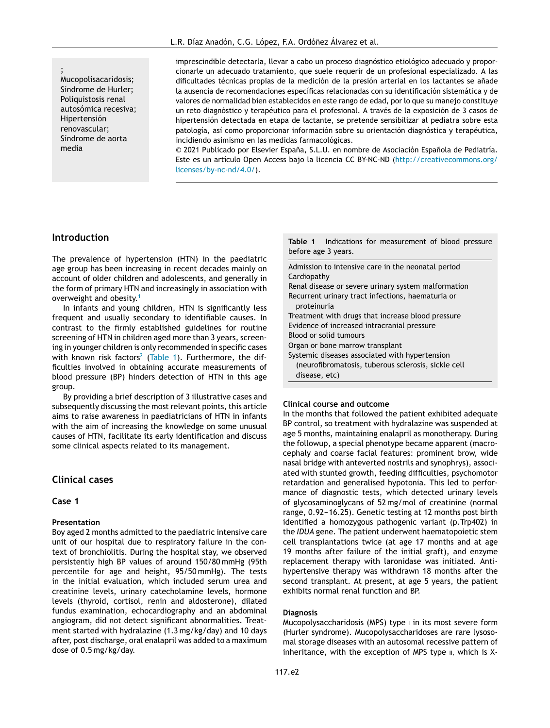<span id="page-1-0"></span>; Mucopolisacaridosis; Síndrome de Hurler; Poliquistosis renal autosómica recesiva; Hipertensión renovascular; Síndrome de aorta media

imprescindible detectarla, llevar a cabo un proceso diagnóstico etiológico adecuado y proporcionarle un adecuado tratamiento, que suele requerir de un profesional especializado. A las dificultades técnicas propias de la medición de la presión arterial en los lactantes se añade la ausencia de recomendaciones específicas relacionadas con su identificación sistemática y de valores de normalidad bien establecidos en este rango de edad, por lo que su manejo constituye un reto diagnóstico y terapéutico para el profesional. A través de la exposición de 3 casos de hipertensión detectada en etapa de lactante, se pretende sensibilizar al pediatra sobre esta patología, así como proporcionar información sobre su orientación diagnóstica y terapéutica, incidiendo asimismo en las medidas farmacológicas.

© 2021 Publicado por Elsevier España, S.L.U. en nombre de Asociación Española de Pediatría. Este es un artículo Open Access bajo la licencia CC BY-NC-ND ([http://creativecommons.org/](http://creativecommons.org/licenses/by-nc-nd/4.0/) [licenses/by-nc-nd/4.0/\)](http://creativecommons.org/licenses/by-nc-nd/4.0/).

### **Introduction**

The prevalence of hypertension (HTN) in the paediatric age group has been increasing in recent decades mainly on account of older children and adolescents, and generally in the form of primary HTN and increasingly in association with overweight and obesity.[1](#page-6-0)

In infants and young children, HTN is significantly less frequent and usually secondary to identifiable causes. In contrast to the firmly established guidelines for routine screening of HTN in children aged more than 3 years, screening in younger children is only recommended in specific cases with known risk factors<sup>[2](#page-6-0)</sup> (Table 1). Furthermore, the difficulties involved in obtaining accurate measurements of blood pressure (BP) hinders detection of HTN in this age group.

By providing a brief description of 3 illustrative cases and subsequently discussing the most relevant points, this article aims to raise awareness in paediatricians of HTN in infants with the aim of increasing the knowledge on some unusual causes of HTN, facilitate its early identification and discuss some clinical aspects related to its management.

# **Clinical cases**

#### **Case 1**

#### **Presentation**

Boy aged 2 months admitted to the paediatric intensive care unit of our hospital due to respiratory failure in the context of bronchiolitis. During the hospital stay, we observed persistently high BP values of around 150/80 mmHg (95th percentile for age and height, 95/50 mmHg). The tests in the initial evaluation, which included serum urea and creatinine levels, urinary catecholamine levels, hormone levels (thyroid, cortisol, renin and aldosterone), dilated fundus examination, echocardiography and an abdominal angiogram, did not detect significant abnormalities. Treatment started with hydralazine (1.3 mg/kg/day) and 10 days after, post discharge, oral enalapril was added to a maximum dose of 0.5 mg/kg/day.

**Table 1** Indications for measurement of blood pressure before age 3 years.

Admission to intensive care in the neonatal period Cardiopathy Renal disease or severe urinary system malformation Recurrent urinary tract infections, haematuria or proteinuria Treatment with drugs that increase blood pressure Evidence of increased intracranial pressure Blood or solid tumours Organ or bone marrow transplant Systemic diseases associated with hypertension (neurofibromatosis, tuberous sclerosis, sickle cell disease, etc)

#### **Clinical course and outcome**

In the months that followed the patient exhibited adequate BP control, so treatment with hydralazine was suspended at age 5 months, maintaining enalapril as monotherapy. During the followup, a special phenotype became apparent (macrocephaly and coarse facial features: prominent brow, wide nasal bridge with anteverted nostrils and synophrys), associated with stunted growth, feeding difficulties, psychomotor retardation and generalised hypotonia. This led to performance of diagnostic tests, which detected urinary levels of glycosaminoglycans of 52 mg/mol of creatinine (normal range, 0.92-16.25). Genetic testing at 12 months post birth identified a homozygous pathogenic variant (p.Trp402) in the *IDUA* gene. The patient underwent haematopoietic stem cell transplantations twice (at age 17 months and at age 19 months after failure of the initial graft), and enzyme replacement therapy with laronidase was initiated. Antihypertensive therapy was withdrawn 18 months after the second transplant. At present, at age 5 years, the patient exhibits normal renal function and BP.

#### **Diagnosis**

Mucopolysaccharidosis (MPS) type i in its most severe form (Hurler syndrome). Mucopolysaccharidoses are rare lysosomal storage diseases with an autosomal recessive pattern of inheritance, with the exception of MPS type  $II$ , which is X-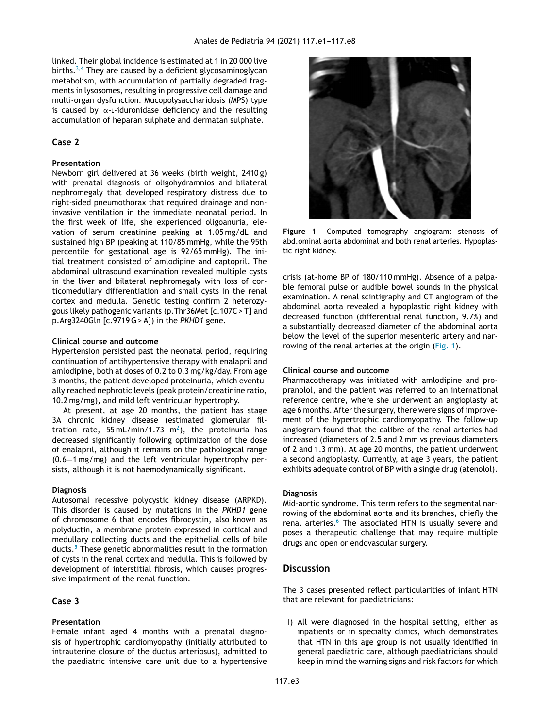linked. Their global incidence is estimated at 1 in 20 000 live births.<sup>[3,4](#page-6-0)</sup> They are caused by a deficient glycosaminoglycan metabolism, with accumulation of partially degraded fragments in lysosomes, resulting in progressive cell damage and multi-organ dysfunction. Mucopolysaccharidosis (MPS) type is caused by  $\alpha$ -L-iduronidase deficiency and the resulting accumulation of heparan sulphate and dermatan sulphate.

## **Case 2**

#### **Presentation**

Newborn girl delivered at 36 weeks (birth weight, 2410 g) with prenatal diagnosis of oligohydramnios and bilateral nephromegaly that developed respiratory distress due to right-sided pneumothorax that required drainage and noninvasive ventilation in the immediate neonatal period. In the first week of life, she experienced oligoanuria, elevation of serum creatinine peaking at 1.05 mg/dL and sustained high BP (peaking at 110/85 mmHg, while the 95th percentile for gestational age is 92/65 mmHg). The initial treatment consisted of amlodipine and captopril. The abdominal ultrasound examination revealed multiple cysts in the liver and bilateral nephromegaly with loss of corticomedullary differentiation and small cysts in the renal cortex and medulla. Genetic testing confirm 2 heterozygous likely pathogenic variants (p.Thr36Met [c.107C > T] and p.Arg3240Gln [c.9719G> A]) in the *PKHD1* gene.

#### **Clinical course and outcome**

Hypertension persisted past the neonatal period, requiring continuation of antihypertensive therapy with enalapril and amlodipine, both at doses of 0.2 to 0.3 mg/kg/day. From age 3 months, the patient developed proteinuria, which eventually reached nephrotic levels (peak protein/creatinine ratio, 10.2 mg/mg), and mild left ventricular hypertrophy.

At present, at age 20 months, the patient has stage 3A chronic kidney disease (estimated glomerular filtration rate, 55 mL/min/1.73  $\mathrm{m}^{2}$ [\),](#page-6-0) the proteinuria has decreased significantly following optimization of the dose of enalapril, although it remains on the pathological range (0.6−1 mg/mg) and the left ventricular hypertrophy persists, although it is not haemodynamically significant.

#### **Diagnosis**

Autosomal recessive polycystic kidney disease (ARPKD). This disorder is caused by mutations in the *PKHD1* gene of chromosome 6 that encodes fibrocystin, also known as polyductin, a membrane protein expressed in cortical and medullary collecting ducts and the epithelial cells of bile ducts.<sup>[5](#page-6-0)</sup> These genetic abnormalities result in the formation of cysts in the renal cortex and medulla. This is followed by development of interstitial fibrosis, which causes progressive impairment of the renal function.

# **Case 3**

# **Presentation**

Female infant aged 4 months with a prenatal diagnosis of hypertrophic cardiomyopathy (initially attributed to intrauterine closure of the ductus arteriosus), admitted to the paediatric intensive care unit due to a hypertensive



**Figure 1** Computed tomography angiogram: stenosis of abd.ominal aorta abdominal and both renal arteries. Hypoplastic right kidney.

crisis (at-home BP of 180/110 mmHg). Absence of a palpable femoral pulse or audible bowel sounds in the physical examination. A renal scintigraphy and CT angiogram of the abdominal aorta revealed a hypoplastic right kidney with decreased function (differential renal function, 9.7%) and a substantially decreased diameter of the abdominal aorta below the level of the superior mesenteric artery and narrowing of the renal arteries at the origin (Fig. 1).

#### **Clinical course and outcome**

Pharmacotherapy was initiated with amlodipine and propranolol, and the patient was referred to an international reference centre, where she underwent an angioplasty at age 6 months. After the surgery, there were signs of improvement of the hypertrophic cardiomyopathy. The follow-up angiogram found that the calibre of the renal arteries had increased (diameters of 2.5 and 2 mm vs previous diameters of 2 and 1.3 mm). At age 20 months, the patient underwent a second angioplasty. Currently, at age 3 years, the patient exhibits adequate control of BP with a single drug (atenolol).

#### **Diagnosis**

Mid-aortic syndrome. This term refers to the segmental narrowing of the abdominal aorta and its branches, chiefly the renal arteries.<sup>[6](#page-6-0)</sup> The associated HTN is usually severe and poses a therapeutic challenge that may require multiple drugs and open or endovascular surgery.

# **Discussion**

The 3 cases presented reflect particularities of infant HTN that are relevant for paediatricians:

I) All were diagnosed in the hospital setting, either as inpatients or in specialty clinics, which demonstrates that HTN in this age group is not usually identified in general paediatric care, although paediatricians should keep in mind the warning signs and risk factors for which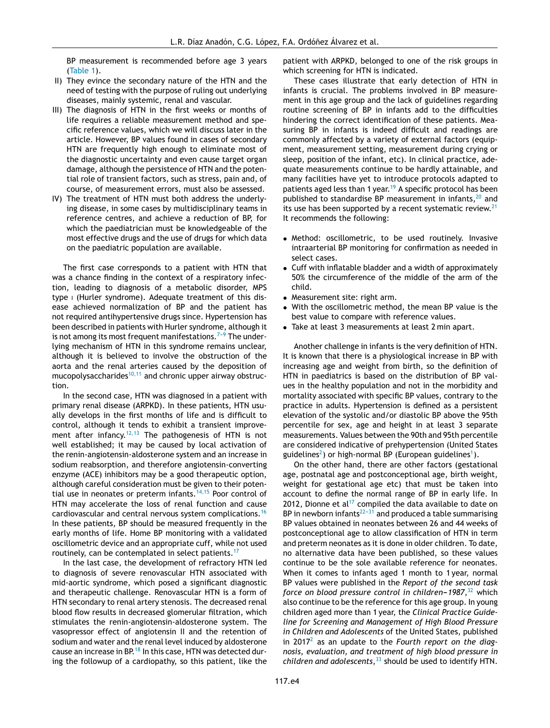BP measurement is recommended before age 3 years [\(Table](#page-1-0) 1).

- II) They evince the secondary nature of the HTN and the need of testing with the purpose of ruling out underlying diseases, mainly systemic, renal and vascular.
- III) The diagnosis of HTN in the first weeks or months of life requires a reliable measurement method and specific reference values, which we will discuss later in the article. However, BP values found in cases of secondary HTN are frequently high enough to eliminate most of the diagnostic uncertainty and even cause target organ damage, although the persistence of HTN and the potential role of transient factors, such as stress, pain and, of course, of measurement errors, must also be assessed.
- IV) The treatment of HTN must both address the underlying disease, in some cases by multidisciplinary teams in reference centres, and achieve a reduction of BP, for which the paediatrician must be knowledgeable of the most effective drugs and the use of drugs for which data on the paediatric population are available.

The first case corresponds to a patient with HTN that was a chance finding in the context of a respiratory infection, leading to diagnosis of a metabolic disorder, MPS type i (Hurler syndrome). Adequate treatment of this disease achieved normalization of BP and the patient has not required antihypertensive drugs since. Hypertension has been described in patients with Hurler syndrome, although it is not among its most frequent manifestations.<sup> $7-9$ </sup> The underlying mechanism of HTN in this syndrome remains unclear, although it is believed to involve the obstruction of the aorta and the renal arteries caused by the deposition of mucopolysaccharides $10,11$  and chronic upper airway obstruction.

In the second case, HTN was diagnosed in a patient with primary renal disease (ARPKD). In these patients, HTN usually develops in the first months of life and is difficult to control, although it tends to exhibit a transient improve-ment after infancy.<sup>[12,13](#page-6-0)</sup> The pathogenesis of HTN is not well established; it may be caused by local activation of the renin-angiotensin-aldosterone system and an increase in sodium reabsorption, and therefore angiotensin-converting enzyme (ACE) inhibitors may be a good therapeutic option, although careful consideration must be given to their potential use in neonates or preterm infants. $14,15$  Poor control of HTN may accelerate the loss of renal function and cause cardiovascular and central nervous system complications.[16](#page-7-0) In these patients, BP should be measured frequently in the early months of life. Home BP monitoring with a validated oscillometric device and an appropriate cuff, while not used routinely, can be contemplated in select patients.<sup>[17](#page-7-0)</sup>

In the last case, the development of refractory HTN led to diagnosis of severe renovascular HTN associated with mid-aortic syndrome, which posed a significant diagnostic and therapeutic challenge. Renovascular HTN is a form of HTN secondary to renal artery stenosis. The decreased renal blood flow results in decreased glomerular filtration, which stimulates the renin-angiotensin-aldosterone system. The vasopressor effect of angiotensin II and the retention of sodium and water and the renal level induced by aldosterone cause an increase in BP.<sup>[18](#page-7-0)</sup> In this case, HTN was detected during the followup of a cardiopathy, so this patient, like the patient with ARPKD, belonged to one of the risk groups in which screening for HTN is indicated.

These cases illustrate that early detection of HTN in infants is crucial. The problems involved in BP measurement in this age group and the lack of guidelines regarding routine screening of BP in infants add to the difficulties hindering the correct identification of these patients. Measuring BP in infants is indeed difficult and readings are commonly affected by a variety of external factors (equipment, measurement setting, measurement during crying or sleep, position of the infant, etc). In clinical practice, adequate measurements continue to be hardly attainable, and many facilities have yet to introduce protocols adapted to patients aged less than 1 year.<sup>[19](#page-7-0)</sup> A specific protocol has been published to standardise BP measurement in infants, $^{20}$  $^{20}$  $^{20}$  and its use has been supported by a recent systematic review. $21$ It recommends the following:

- Method: oscillometric, to be used routinely. Invasive intraarterial BP monitoring for confirmation as needed in select cases.
- Cuff with inflatable bladder and a width of approximately 50% the circumference of the middle of the arm of the child.
- Measurement site: right arm.
- With the oscillometric method, the mean BP value is the best value to compare with reference values.
- Take at least 3 measurements at least 2 min apart.

Another challenge in infants is the very definition of HTN. It is known that there is a physiological increase in BP with increasing age and weight from birth, so the definition of HTN in paediatrics is based on the distribution of BP values in the healthy population and not in the morbidity and mortality associated with specific BP values, contrary to the practice in adults. Hypertension is defined as a persistent elevation of the systolic and/or diastolic BP above the 95th percentile for sex, age and height in at least 3 separate measurements. Values between the 90th and 95th percentile are considered indicative of prehypertension (United States guidelines<sup>2</sup>[\)](#page-6-0) or high-normal BP (European guidelines<sup>1</sup>[\).](#page-6-0)

On the other hand, there are other factors (gestational age, postnatal age and postconceptional age, birth weight, weight for gestational age etc) that must be taken into account to define the normal range of BP in early life. In 2012, Dionne et al<sup>[17](#page-7-0)</sup> compiled the data available to date on BP in newborn infants<sup>22-31</sup> and produced a table summarising BP values obtained in neonates between 26 and 44 weeks of postconceptional age to allow classification of HTN in term and preterm neonates as it is done in older children. To date, no alternative data have been published, so these values continue to be the sole available reference for neonates. When it comes to infants aged 1 month to 1 year, normal BP values were published in the *Report of the second task force on blood pressure control in children-1987*,<sup>[32](#page-7-0)</sup> which also continue to be the reference for this age group. In young children aged more than 1 year, the *Clinical Practice Guideline for Screening and Management of High Blood Pressure in Children and Adolescents* of the United States, published in 2017[2](#page-6-0) as an update to the *Fourth report on the diagnosis, evaluation, and treatment of high blood pressure in children and adolescents*, [33](#page-7-0) should be used to identify HTN.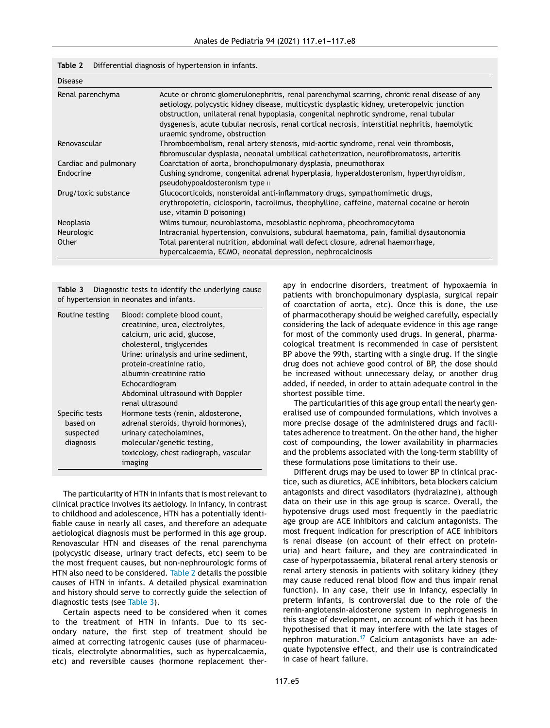| Table 2 |  | Differential diagnosis of hypertension in infants. |  |
|---------|--|----------------------------------------------------|--|
|         |  |                                                    |  |

| <b>Disease</b>        |                                                                                                                                                                                                                                                                                                                                                                                                                            |
|-----------------------|----------------------------------------------------------------------------------------------------------------------------------------------------------------------------------------------------------------------------------------------------------------------------------------------------------------------------------------------------------------------------------------------------------------------------|
| Renal parenchyma      | Acute or chronic glomerulonephritis, renal parenchymal scarring, chronic renal disease of any<br>aetiology, polycystic kidney disease, multicystic dysplastic kidney, ureteropelvic junction<br>obstruction, unilateral renal hypoplasia, congenital nephrotic syndrome, renal tubular<br>dysgenesis, acute tubular necrosis, renal cortical necrosis, interstitial nephritis, haemolytic<br>uraemic syndrome, obstruction |
| Renovascular          | Thromboembolism, renal artery stenosis, mid-aortic syndrome, renal vein thrombosis,<br>fibromuscular dysplasia, neonatal umbilical catheterization, neurofibromatosis, arteritis                                                                                                                                                                                                                                           |
| Cardiac and pulmonary | Coarctation of aorta, bronchopulmonary dysplasia, pneumothorax                                                                                                                                                                                                                                                                                                                                                             |
| Endocrine             | Cushing syndrome, congenital adrenal hyperplasia, hyperaldosteronism, hyperthyroidism,<br>pseudohypoaldosteronism type ii                                                                                                                                                                                                                                                                                                  |
| Drug/toxic substance  | Glucocorticoids, nonsteroidal anti-inflammatory drugs, sympathomimetic drugs,<br>erythropoietin, ciclosporin, tacrolimus, theophylline, caffeine, maternal cocaine or heroin<br>use, vitamin D poisoning)                                                                                                                                                                                                                  |
| Neoplasia             | Wilms tumour, neuroblastoma, mesoblastic nephroma, pheochromocytoma                                                                                                                                                                                                                                                                                                                                                        |
| Neurologic            | Intracranial hypertension, convulsions, subdural haematoma, pain, familial dysautonomia                                                                                                                                                                                                                                                                                                                                    |
| Other                 | Total parenteral nutrition, abdominal wall defect closure, adrenal haemorrhage,<br>hypercalcaemia, ECMO, neonatal depression, nephrocalcinosis                                                                                                                                                                                                                                                                             |

**Table 3** Diagnostic tests to identify the underlying cause of hypertension in neonates and infants.

| Routine testing                                      | Blood: complete blood count,<br>creatinine, urea, electrolytes,<br>calcium, uric acid, glucose,<br>cholesterol, triglycerides<br>Urine: urinalysis and urine sediment,<br>protein-creatinine ratio,<br>albumin-creatinine ratio<br>Echocardiogram<br>Abdominal ultrasound with Doppler |
|------------------------------------------------------|----------------------------------------------------------------------------------------------------------------------------------------------------------------------------------------------------------------------------------------------------------------------------------------|
| Specific tests<br>based on<br>suspected<br>diagnosis | renal ultrasound<br>Hormone tests (renin, aldosterone,<br>adrenal steroids, thyroid hormones),<br>urinary catecholamines,<br>molecular/genetic testing,<br>toxicology, chest radiograph, vascular<br>imaging                                                                           |

The particularity of HTN in infants that is most relevant to clinical practice involves its aetiology. In infancy, in contrast to childhood and adolescence, HTN has a potentially identifiable cause in nearly all cases, and therefore an adequate aetiological diagnosis must be performed in this age group. Renovascular HTN and diseases of the renal parenchyma (polycystic disease, urinary tract defects, etc) seem to be the most frequent causes, but non-nephrourologic forms of HTN also need to be considered. Table 2 details the possible causes of HTN in infants. A detailed physical examination and history should serve to correctly guide the selection of diagnostic tests (see Table 3).

Certain aspects need to be considered when it comes to the treatment of HTN in infants. Due to its secondary nature, the first step of treatment should be aimed at correcting iatrogenic causes (use of pharmaceuticals, electrolyte abnormalities, such as hypercalcaemia, etc) and reversible causes (hormone replacement therapy in endocrine disorders, treatment of hypoxaemia in patients with bronchopulmonary dysplasia, surgical repair of coarctation of aorta, etc). Once this is done, the use of pharmacotherapy should be weighed carefully, especially considering the lack of adequate evidence in this age range for most of the commonly used drugs. In general, pharmacological treatment is recommended in case of persistent BP above the 99th, starting with a single drug. If the single drug does not achieve good control of BP, the dose should be increased without unnecessary delay, or another drug added, if needed, in order to attain adequate control in the shortest possible time.

The particularities of this age group entail the nearly generalised use of compounded formulations, which involves a more precise dosage of the administered drugs and facilitates adherence to treatment. On the other hand, the higher cost of compounding, the lower availability in pharmacies and the problems associated with the long-term stability of these formulations pose limitations to their use.

Different drugs may be used to lower BP in clinical practice, such as diuretics, ACE inhibitors, beta blockers calcium antagonists and direct vasodilators (hydralazine), although data on their use in this age group is scarce. Overall, the hypotensive drugs used most frequently in the paediatric age group are ACE inhibitors and calcium antagonists. The most frequent indication for prescription of ACE inhibitors is renal disease (on account of their effect on proteinuria) and heart failure, and they are contraindicated in case of hyperpotassaemia, bilateral renal artery stenosis or renal artery stenosis in patients with solitary kidney (they may cause reduced renal blood flow and thus impair renal function). In any case, their use in infancy, especially in preterm infants, is controversial due to the role of the renin-angiotensin-aldosterone system in nephrogenesis in this stage of development, on account of which it has been hypothesised that it may interfere with the late stages of nephron maturation.[17](#page-7-0) Calcium antagonists have an adequate hypotensive effect, and their use is contraindicated in case of heart failure.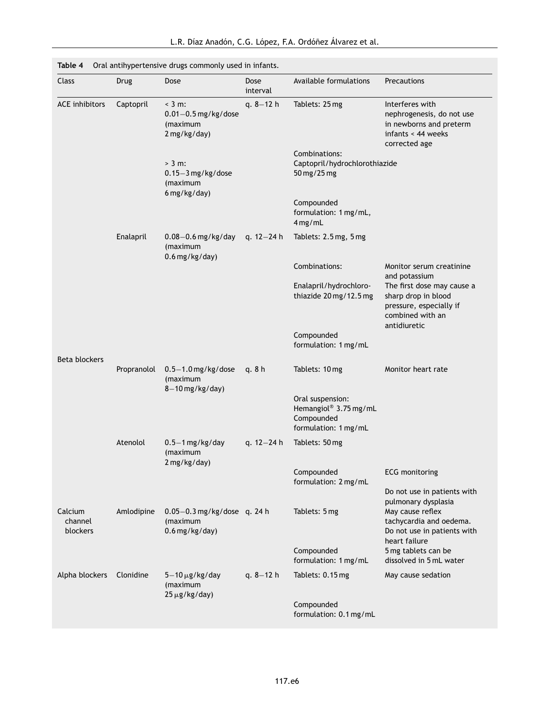| Class                          | Drug        | Dose                                                            | Dose<br>interval | Available formulations                                                          | Precautions                                                                                                                       |
|--------------------------------|-------------|-----------------------------------------------------------------|------------------|---------------------------------------------------------------------------------|-----------------------------------------------------------------------------------------------------------------------------------|
| <b>ACE</b> inhibitors          | Captopril   | $<$ 3 m:<br>$0.01 - 0.5$ mg/kg/dose<br>(maximum<br>2 mg/kg/day) | q. $8-12$ h      | Tablets: 25 mg                                                                  | Interferes with<br>nephrogenesis, do not use<br>in newborns and preterm<br>infants < 44 weeks<br>corrected age                    |
|                                |             | $> 3$ m:<br>$0.15-3$ mg/kg/dose<br>(maximum<br>$6$ mg/kg/day)   |                  | Combinations:<br>Captopril/hydrochlorothiazide<br>50 mg/25 mg                   |                                                                                                                                   |
|                                |             |                                                                 |                  | Compounded<br>formulation: 1 mg/mL,<br>$4$ mg/mL                                |                                                                                                                                   |
|                                | Enalapril   | $0.08 - 0.6$ mg/kg/day<br>(maximum<br>$0.6$ mg/kg/day)          | q. 12-24 h       | Tablets: 2.5 mg, 5 mg                                                           |                                                                                                                                   |
|                                |             |                                                                 |                  | Combinations:                                                                   | Monitor serum creatinine                                                                                                          |
|                                |             |                                                                 |                  | Enalapril/hydrochloro-<br>thiazide 20 mg/12.5 mg                                | and potassium<br>The first dose may cause a<br>sharp drop in blood<br>pressure, especially if<br>combined with an<br>antidiuretic |
|                                |             |                                                                 |                  | Compounded<br>formulation: 1 mg/mL                                              |                                                                                                                                   |
| Beta blockers                  | Propranolol | $0.5-1.0$ mg/kg/dose<br>(maximum<br>$8-10$ mg/kg/day)           | q. $8h$          | Tablets: 10 mg                                                                  | Monitor heart rate                                                                                                                |
|                                |             |                                                                 |                  | Oral suspension:<br>Hemangiol® 3.75 mg/mL<br>Compounded<br>formulation: 1 mg/mL |                                                                                                                                   |
|                                | Atenolol    | $0.5-1$ mg/kg/day<br>(maximum<br>2 mg/kg/day)                   | q. $12 - 24 h$   | Tablets: 50 mg                                                                  |                                                                                                                                   |
|                                |             |                                                                 |                  | Compounded<br>formulation: 2 mg/mL                                              | <b>ECG</b> monitoring                                                                                                             |
|                                |             |                                                                 |                  |                                                                                 | Do not use in patients with<br>pulmonary dysplasia                                                                                |
| Calcium<br>channel<br>blockers | Amlodipine  | $0.05 - 0.3$ mg/kg/dose q. 24 h<br>(maximum<br>$0.6$ mg/kg/day) |                  | Tablets: 5 mg                                                                   | May cause reflex<br>tachycardia and oedema.<br>Do not use in patients with<br>heart failure                                       |
|                                |             |                                                                 |                  | Compounded<br>formulation: 1 mg/mL                                              | 5 mg tablets can be<br>dissolved in 5 mL water                                                                                    |
| Alpha blockers                 | Clonidine   | $5-10 \,\mu g/kg/day$<br>(maximum<br>$25 \mu g/kg/day)$         | q. $8-12$ h      | Tablets: 0.15 mg                                                                | May cause sedation                                                                                                                |
|                                |             |                                                                 |                  | Compounded<br>formulation: 0.1 mg/mL                                            |                                                                                                                                   |

<span id="page-5-0"></span>**Table 4** Oral antihypertensive drugs commonly used in infants.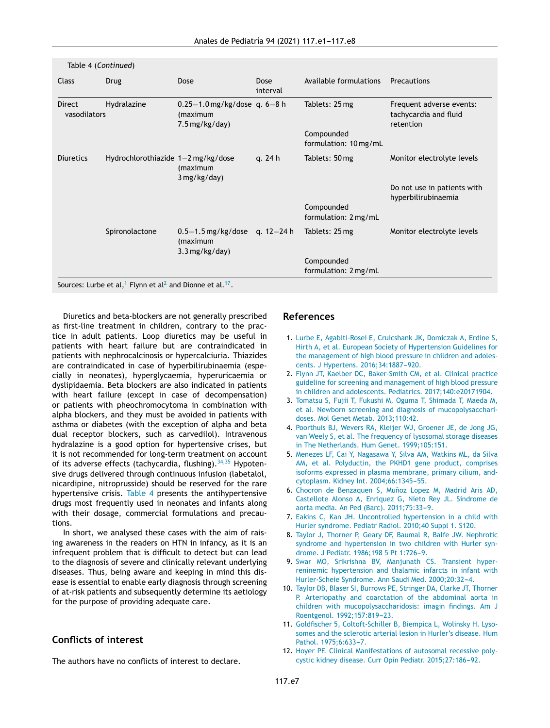<span id="page-6-0"></span>

| Class                                        | <b>Drug</b>                        | Dose                                                                       | Dose<br>interval | Available formulations              | Precautions                                                    |
|----------------------------------------------|------------------------------------|----------------------------------------------------------------------------|------------------|-------------------------------------|----------------------------------------------------------------|
| Hydralazine<br><b>Direct</b><br>vasodilators |                                    | $0.25 - 1.0$ mg/kg/dose q. 6-8 h<br>(maximum<br>$7.5 \,\mathrm{mg/kg/day}$ |                  | Tablets: 25 mg                      | Frequent adverse events:<br>tachycardia and fluid<br>retention |
|                                              |                                    |                                                                            |                  | Compounded<br>formulation: 10 mg/mL |                                                                |
| <b>Diuretics</b>                             | Hydrochlorothiazide 1-2 mg/kg/dose | (maximum<br>3 mg/kg/day)                                                   | q. 24 h          | Tablets: 50 mg                      | Monitor electrolyte levels                                     |
|                                              |                                    |                                                                            |                  |                                     | Do not use in patients with<br>hyperbilirubinaemia             |
|                                              |                                    |                                                                            |                  | Compounded<br>formulation: 2 mg/mL  |                                                                |
|                                              | Spironolactone                     | $0.5-1.5$ mg/kg/dose<br>(maximum<br>$3.3$ mg/kg/day)                       | q. 12–24 h       | Tablets: 25 mg                      | Monitor electrolyte levels                                     |
|                                              |                                    |                                                                            |                  | Compounded<br>formulation: 2 mg/mL  |                                                                |

Sources: Lurbe et al, $^1$  Flynn et al $^2$  and Dionne et al. $^{17}.$  $^{17}.$  $^{17}.$ 

Diuretics and beta-blockers are not generally prescribed as first-line treatment in children, contrary to the practice in adult patients. Loop diuretics may be useful in patients with heart failure but are contraindicated in patients with nephrocalcinosis or hypercalciuria. Thiazides are contraindicated in case of hyperbilirubinaemia (especially in neonates), hyperglycaemia, hyperuricaemia or dyslipidaemia. Beta blockers are also indicated in patients with heart failure (except in case of decompensation) or patients with pheochromocytoma in combination with alpha blockers, and they must be avoided in patients with asthma or diabetes (with the exception of alpha and beta dual receptor blockers, such as carvedilol). Intravenous hydralazine is a good option for hypertensive crises, but it is not recommended for long-term treatment on account of its adverse effects (tachycardia, flushing).  $34,35$  Hypotensive drugs delivered through continuous infusion (labetalol, nicardipine, nitroprusside) should be reserved for the rare hypertensive crisis. [Table](#page-5-0) 4 presents the antihypertensive drugs most frequently used in neonates and infants along with their dosage, commercial formulations and precautions.

In short, we analysed these cases with the aim of raising awareness in the readers on HTN in infancy, as it is an infrequent problem that is difficult to detect but can lead to the diagnosis of severe and clinically relevant underlying diseases. Thus, being aware and keeping in mind this disease is essential to enable early diagnosis through screening of at-risk patients and subsequently determine its aetiology for the purpose of providing adequate care.

# **Conflicts of interest**

The authors have no conflicts of interest to declare.

# **References**

- 1. [Lurbe](http://refhub.elsevier.com/S2173-5743(19)30124-8/sbref0005) [E,](http://refhub.elsevier.com/S2173-5743(19)30124-8/sbref0005) [Agabiti-Rosei](http://refhub.elsevier.com/S2173-5743(19)30124-8/sbref0005) [E,](http://refhub.elsevier.com/S2173-5743(19)30124-8/sbref0005) [Cruicshank](http://refhub.elsevier.com/S2173-5743(19)30124-8/sbref0005) [JK,](http://refhub.elsevier.com/S2173-5743(19)30124-8/sbref0005) [Domiczak](http://refhub.elsevier.com/S2173-5743(19)30124-8/sbref0005) [A,](http://refhub.elsevier.com/S2173-5743(19)30124-8/sbref0005) [Erdine](http://refhub.elsevier.com/S2173-5743(19)30124-8/sbref0005) [S,](http://refhub.elsevier.com/S2173-5743(19)30124-8/sbref0005) [Hirth](http://refhub.elsevier.com/S2173-5743(19)30124-8/sbref0005) [A,](http://refhub.elsevier.com/S2173-5743(19)30124-8/sbref0005) [et](http://refhub.elsevier.com/S2173-5743(19)30124-8/sbref0005) [al.](http://refhub.elsevier.com/S2173-5743(19)30124-8/sbref0005) [European](http://refhub.elsevier.com/S2173-5743(19)30124-8/sbref0005) [Society](http://refhub.elsevier.com/S2173-5743(19)30124-8/sbref0005) [of](http://refhub.elsevier.com/S2173-5743(19)30124-8/sbref0005) [Hypertension](http://refhub.elsevier.com/S2173-5743(19)30124-8/sbref0005) [Guidelines](http://refhub.elsevier.com/S2173-5743(19)30124-8/sbref0005) [for](http://refhub.elsevier.com/S2173-5743(19)30124-8/sbref0005) [the](http://refhub.elsevier.com/S2173-5743(19)30124-8/sbref0005) [management](http://refhub.elsevier.com/S2173-5743(19)30124-8/sbref0005) [of](http://refhub.elsevier.com/S2173-5743(19)30124-8/sbref0005) [high](http://refhub.elsevier.com/S2173-5743(19)30124-8/sbref0005) [blood](http://refhub.elsevier.com/S2173-5743(19)30124-8/sbref0005) [pressure](http://refhub.elsevier.com/S2173-5743(19)30124-8/sbref0005) [in](http://refhub.elsevier.com/S2173-5743(19)30124-8/sbref0005) [children](http://refhub.elsevier.com/S2173-5743(19)30124-8/sbref0005) [and](http://refhub.elsevier.com/S2173-5743(19)30124-8/sbref0005) [adoles](http://refhub.elsevier.com/S2173-5743(19)30124-8/sbref0005)[cents.](http://refhub.elsevier.com/S2173-5743(19)30124-8/sbref0005) [J](http://refhub.elsevier.com/S2173-5743(19)30124-8/sbref0005) [Hypertens.](http://refhub.elsevier.com/S2173-5743(19)30124-8/sbref0005) 2016;34:1887-920.
- 2. [Flynn](http://refhub.elsevier.com/S2173-5743(19)30124-8/sbref0010) [JT,](http://refhub.elsevier.com/S2173-5743(19)30124-8/sbref0010) [Kaelber](http://refhub.elsevier.com/S2173-5743(19)30124-8/sbref0010) [DC,](http://refhub.elsevier.com/S2173-5743(19)30124-8/sbref0010) [Baker-Smith](http://refhub.elsevier.com/S2173-5743(19)30124-8/sbref0010) [CM,](http://refhub.elsevier.com/S2173-5743(19)30124-8/sbref0010) [et](http://refhub.elsevier.com/S2173-5743(19)30124-8/sbref0010) [al.](http://refhub.elsevier.com/S2173-5743(19)30124-8/sbref0010) [Clinical](http://refhub.elsevier.com/S2173-5743(19)30124-8/sbref0010) [practice](http://refhub.elsevier.com/S2173-5743(19)30124-8/sbref0010) [guideline](http://refhub.elsevier.com/S2173-5743(19)30124-8/sbref0010) [for](http://refhub.elsevier.com/S2173-5743(19)30124-8/sbref0010) [screening](http://refhub.elsevier.com/S2173-5743(19)30124-8/sbref0010) [and](http://refhub.elsevier.com/S2173-5743(19)30124-8/sbref0010) [management](http://refhub.elsevier.com/S2173-5743(19)30124-8/sbref0010) [of](http://refhub.elsevier.com/S2173-5743(19)30124-8/sbref0010) [high](http://refhub.elsevier.com/S2173-5743(19)30124-8/sbref0010) [blood](http://refhub.elsevier.com/S2173-5743(19)30124-8/sbref0010) [pressure](http://refhub.elsevier.com/S2173-5743(19)30124-8/sbref0010) [in](http://refhub.elsevier.com/S2173-5743(19)30124-8/sbref0010) [children](http://refhub.elsevier.com/S2173-5743(19)30124-8/sbref0010) [and](http://refhub.elsevier.com/S2173-5743(19)30124-8/sbref0010) [adolescents.](http://refhub.elsevier.com/S2173-5743(19)30124-8/sbref0010) [Pediatrics.](http://refhub.elsevier.com/S2173-5743(19)30124-8/sbref0010) [2017;140:e20171904.](http://refhub.elsevier.com/S2173-5743(19)30124-8/sbref0010)
- 3. [Tomatsu](http://refhub.elsevier.com/S2173-5743(19)30124-8/sbref0015) [S,](http://refhub.elsevier.com/S2173-5743(19)30124-8/sbref0015) [Fujii](http://refhub.elsevier.com/S2173-5743(19)30124-8/sbref0015) [T,](http://refhub.elsevier.com/S2173-5743(19)30124-8/sbref0015) [Fukushi](http://refhub.elsevier.com/S2173-5743(19)30124-8/sbref0015) [M,](http://refhub.elsevier.com/S2173-5743(19)30124-8/sbref0015) [Oguma](http://refhub.elsevier.com/S2173-5743(19)30124-8/sbref0015) [T,](http://refhub.elsevier.com/S2173-5743(19)30124-8/sbref0015) [Shimada](http://refhub.elsevier.com/S2173-5743(19)30124-8/sbref0015) [T,](http://refhub.elsevier.com/S2173-5743(19)30124-8/sbref0015) [Maeda](http://refhub.elsevier.com/S2173-5743(19)30124-8/sbref0015) [M,](http://refhub.elsevier.com/S2173-5743(19)30124-8/sbref0015) [et](http://refhub.elsevier.com/S2173-5743(19)30124-8/sbref0015) [al.](http://refhub.elsevier.com/S2173-5743(19)30124-8/sbref0015) [Newborn](http://refhub.elsevier.com/S2173-5743(19)30124-8/sbref0015) [screening](http://refhub.elsevier.com/S2173-5743(19)30124-8/sbref0015) [and](http://refhub.elsevier.com/S2173-5743(19)30124-8/sbref0015) [diagnosis](http://refhub.elsevier.com/S2173-5743(19)30124-8/sbref0015) [of](http://refhub.elsevier.com/S2173-5743(19)30124-8/sbref0015) [mucopolysacchari](http://refhub.elsevier.com/S2173-5743(19)30124-8/sbref0015)[doses.](http://refhub.elsevier.com/S2173-5743(19)30124-8/sbref0015) [Mol](http://refhub.elsevier.com/S2173-5743(19)30124-8/sbref0015) [Genet](http://refhub.elsevier.com/S2173-5743(19)30124-8/sbref0015) [Metab.](http://refhub.elsevier.com/S2173-5743(19)30124-8/sbref0015) [2013;110:42.](http://refhub.elsevier.com/S2173-5743(19)30124-8/sbref0015)
- 4. [Poorthuis](http://refhub.elsevier.com/S2173-5743(19)30124-8/sbref0020) [BJ,](http://refhub.elsevier.com/S2173-5743(19)30124-8/sbref0020) [Wevers](http://refhub.elsevier.com/S2173-5743(19)30124-8/sbref0020) [RA,](http://refhub.elsevier.com/S2173-5743(19)30124-8/sbref0020) [Kleijer](http://refhub.elsevier.com/S2173-5743(19)30124-8/sbref0020) [WJ,](http://refhub.elsevier.com/S2173-5743(19)30124-8/sbref0020) [Groener](http://refhub.elsevier.com/S2173-5743(19)30124-8/sbref0020) [JE,](http://refhub.elsevier.com/S2173-5743(19)30124-8/sbref0020) [de](http://refhub.elsevier.com/S2173-5743(19)30124-8/sbref0020) [Jong](http://refhub.elsevier.com/S2173-5743(19)30124-8/sbref0020) [JG,](http://refhub.elsevier.com/S2173-5743(19)30124-8/sbref0020) [van](http://refhub.elsevier.com/S2173-5743(19)30124-8/sbref0020) [Weely](http://refhub.elsevier.com/S2173-5743(19)30124-8/sbref0020) [S,](http://refhub.elsevier.com/S2173-5743(19)30124-8/sbref0020) [et](http://refhub.elsevier.com/S2173-5743(19)30124-8/sbref0020) [al.](http://refhub.elsevier.com/S2173-5743(19)30124-8/sbref0020) [The](http://refhub.elsevier.com/S2173-5743(19)30124-8/sbref0020) [frequency](http://refhub.elsevier.com/S2173-5743(19)30124-8/sbref0020) [of](http://refhub.elsevier.com/S2173-5743(19)30124-8/sbref0020) [lysosomal](http://refhub.elsevier.com/S2173-5743(19)30124-8/sbref0020) [storage](http://refhub.elsevier.com/S2173-5743(19)30124-8/sbref0020) [diseases](http://refhub.elsevier.com/S2173-5743(19)30124-8/sbref0020) [in](http://refhub.elsevier.com/S2173-5743(19)30124-8/sbref0020) [The](http://refhub.elsevier.com/S2173-5743(19)30124-8/sbref0020) [Netherlands.](http://refhub.elsevier.com/S2173-5743(19)30124-8/sbref0020) [Hum](http://refhub.elsevier.com/S2173-5743(19)30124-8/sbref0020) [Genet.](http://refhub.elsevier.com/S2173-5743(19)30124-8/sbref0020) [1999;105:151.](http://refhub.elsevier.com/S2173-5743(19)30124-8/sbref0020)
- 5. [Menezes](http://refhub.elsevier.com/S2173-5743(19)30124-8/sbref0025) [LF,](http://refhub.elsevier.com/S2173-5743(19)30124-8/sbref0025) [Cai](http://refhub.elsevier.com/S2173-5743(19)30124-8/sbref0025) [Y,](http://refhub.elsevier.com/S2173-5743(19)30124-8/sbref0025) [Nagasawa](http://refhub.elsevier.com/S2173-5743(19)30124-8/sbref0025) [Y,](http://refhub.elsevier.com/S2173-5743(19)30124-8/sbref0025) [Silva](http://refhub.elsevier.com/S2173-5743(19)30124-8/sbref0025) [AM,](http://refhub.elsevier.com/S2173-5743(19)30124-8/sbref0025) [Watkins](http://refhub.elsevier.com/S2173-5743(19)30124-8/sbref0025) [ML,](http://refhub.elsevier.com/S2173-5743(19)30124-8/sbref0025) [da](http://refhub.elsevier.com/S2173-5743(19)30124-8/sbref0025) [Silva](http://refhub.elsevier.com/S2173-5743(19)30124-8/sbref0025) [AM,](http://refhub.elsevier.com/S2173-5743(19)30124-8/sbref0025) [et](http://refhub.elsevier.com/S2173-5743(19)30124-8/sbref0025) [al.](http://refhub.elsevier.com/S2173-5743(19)30124-8/sbref0025) [Polyductin,](http://refhub.elsevier.com/S2173-5743(19)30124-8/sbref0025) [the](http://refhub.elsevier.com/S2173-5743(19)30124-8/sbref0025) [PKHD1](http://refhub.elsevier.com/S2173-5743(19)30124-8/sbref0025) [gene](http://refhub.elsevier.com/S2173-5743(19)30124-8/sbref0025) [product,](http://refhub.elsevier.com/S2173-5743(19)30124-8/sbref0025) [comprises](http://refhub.elsevier.com/S2173-5743(19)30124-8/sbref0025) [isoforms](http://refhub.elsevier.com/S2173-5743(19)30124-8/sbref0025) [expressed](http://refhub.elsevier.com/S2173-5743(19)30124-8/sbref0025) [in](http://refhub.elsevier.com/S2173-5743(19)30124-8/sbref0025) [plasma](http://refhub.elsevier.com/S2173-5743(19)30124-8/sbref0025) [membrane,](http://refhub.elsevier.com/S2173-5743(19)30124-8/sbref0025) [primary](http://refhub.elsevier.com/S2173-5743(19)30124-8/sbref0025) [cilium,](http://refhub.elsevier.com/S2173-5743(19)30124-8/sbref0025) [and](http://refhub.elsevier.com/S2173-5743(19)30124-8/sbref0025)[cytoplasm.](http://refhub.elsevier.com/S2173-5743(19)30124-8/sbref0025) [Kidney](http://refhub.elsevier.com/S2173-5743(19)30124-8/sbref0025) [Int.](http://refhub.elsevier.com/S2173-5743(19)30124-8/sbref0025) [2004;66:1345](http://refhub.elsevier.com/S2173-5743(19)30124-8/sbref0025)-[55.](http://refhub.elsevier.com/S2173-5743(19)30124-8/sbref0025)
- 6. [Chocron](http://refhub.elsevier.com/S2173-5743(19)30124-8/sbref0030) [de](http://refhub.elsevier.com/S2173-5743(19)30124-8/sbref0030) [Benzaquen](http://refhub.elsevier.com/S2173-5743(19)30124-8/sbref0030) [S,](http://refhub.elsevier.com/S2173-5743(19)30124-8/sbref0030) Muñoz [Lopez](http://refhub.elsevier.com/S2173-5743(19)30124-8/sbref0030) [M,](http://refhub.elsevier.com/S2173-5743(19)30124-8/sbref0030) [Madrid](http://refhub.elsevier.com/S2173-5743(19)30124-8/sbref0030) [Aris](http://refhub.elsevier.com/S2173-5743(19)30124-8/sbref0030) [AD,](http://refhub.elsevier.com/S2173-5743(19)30124-8/sbref0030) [Castellote](http://refhub.elsevier.com/S2173-5743(19)30124-8/sbref0030) [Alonso](http://refhub.elsevier.com/S2173-5743(19)30124-8/sbref0030) [A,](http://refhub.elsevier.com/S2173-5743(19)30124-8/sbref0030) [Enriquez](http://refhub.elsevier.com/S2173-5743(19)30124-8/sbref0030) [G,](http://refhub.elsevier.com/S2173-5743(19)30124-8/sbref0030) [Nieto](http://refhub.elsevier.com/S2173-5743(19)30124-8/sbref0030) [Rey](http://refhub.elsevier.com/S2173-5743(19)30124-8/sbref0030) [JL.](http://refhub.elsevier.com/S2173-5743(19)30124-8/sbref0030) [Sindrome](http://refhub.elsevier.com/S2173-5743(19)30124-8/sbref0030) [de](http://refhub.elsevier.com/S2173-5743(19)30124-8/sbref0030) [aorta](http://refhub.elsevier.com/S2173-5743(19)30124-8/sbref0030) [media.](http://refhub.elsevier.com/S2173-5743(19)30124-8/sbref0030) [An](http://refhub.elsevier.com/S2173-5743(19)30124-8/sbref0030) [Ped](http://refhub.elsevier.com/S2173-5743(19)30124-8/sbref0030) [\(Barc\).](http://refhub.elsevier.com/S2173-5743(19)30124-8/sbref0030) [2011;75:33](http://refhub.elsevier.com/S2173-5743(19)30124-8/sbref0030)[-9.](http://refhub.elsevier.com/S2173-5743(19)30124-8/sbref0030)
- 7. [Eakins](http://refhub.elsevier.com/S2173-5743(19)30124-8/sbref0035) [C,](http://refhub.elsevier.com/S2173-5743(19)30124-8/sbref0035) [Kan](http://refhub.elsevier.com/S2173-5743(19)30124-8/sbref0035) [JH.](http://refhub.elsevier.com/S2173-5743(19)30124-8/sbref0035) [Uncontrolled](http://refhub.elsevier.com/S2173-5743(19)30124-8/sbref0035) [hypertension](http://refhub.elsevier.com/S2173-5743(19)30124-8/sbref0035) [in](http://refhub.elsevier.com/S2173-5743(19)30124-8/sbref0035) [a](http://refhub.elsevier.com/S2173-5743(19)30124-8/sbref0035) [child](http://refhub.elsevier.com/S2173-5743(19)30124-8/sbref0035) [with](http://refhub.elsevier.com/S2173-5743(19)30124-8/sbref0035) [Hurler](http://refhub.elsevier.com/S2173-5743(19)30124-8/sbref0035) [syndrome.](http://refhub.elsevier.com/S2173-5743(19)30124-8/sbref0035) [Pediatr](http://refhub.elsevier.com/S2173-5743(19)30124-8/sbref0035) [Radiol.](http://refhub.elsevier.com/S2173-5743(19)30124-8/sbref0035) [2010;40](http://refhub.elsevier.com/S2173-5743(19)30124-8/sbref0035) [Suppl](http://refhub.elsevier.com/S2173-5743(19)30124-8/sbref0035) [1.](http://refhub.elsevier.com/S2173-5743(19)30124-8/sbref0035) [S120.](http://refhub.elsevier.com/S2173-5743(19)30124-8/sbref0035)
- 8. [Taylor](http://refhub.elsevier.com/S2173-5743(19)30124-8/sbref0040) [J,](http://refhub.elsevier.com/S2173-5743(19)30124-8/sbref0040) [Thorner](http://refhub.elsevier.com/S2173-5743(19)30124-8/sbref0040) [P,](http://refhub.elsevier.com/S2173-5743(19)30124-8/sbref0040) [Geary](http://refhub.elsevier.com/S2173-5743(19)30124-8/sbref0040) [DF,](http://refhub.elsevier.com/S2173-5743(19)30124-8/sbref0040) [Baumal](http://refhub.elsevier.com/S2173-5743(19)30124-8/sbref0040) [R,](http://refhub.elsevier.com/S2173-5743(19)30124-8/sbref0040) [Balfe](http://refhub.elsevier.com/S2173-5743(19)30124-8/sbref0040) [JW.](http://refhub.elsevier.com/S2173-5743(19)30124-8/sbref0040) [Nephrotic](http://refhub.elsevier.com/S2173-5743(19)30124-8/sbref0040) [syndrome](http://refhub.elsevier.com/S2173-5743(19)30124-8/sbref0040) [and](http://refhub.elsevier.com/S2173-5743(19)30124-8/sbref0040) [hypertension](http://refhub.elsevier.com/S2173-5743(19)30124-8/sbref0040) [in](http://refhub.elsevier.com/S2173-5743(19)30124-8/sbref0040) [two](http://refhub.elsevier.com/S2173-5743(19)30124-8/sbref0040) [children](http://refhub.elsevier.com/S2173-5743(19)30124-8/sbref0040) [with](http://refhub.elsevier.com/S2173-5743(19)30124-8/sbref0040) [Hurler](http://refhub.elsevier.com/S2173-5743(19)30124-8/sbref0040) [syn](http://refhub.elsevier.com/S2173-5743(19)30124-8/sbref0040)[drome.](http://refhub.elsevier.com/S2173-5743(19)30124-8/sbref0040) [J](http://refhub.elsevier.com/S2173-5743(19)30124-8/sbref0040) [Pediatr.](http://refhub.elsevier.com/S2173-5743(19)30124-8/sbref0040) [1986;198](http://refhub.elsevier.com/S2173-5743(19)30124-8/sbref0040) [5](http://refhub.elsevier.com/S2173-5743(19)30124-8/sbref0040) [Pt](http://refhub.elsevier.com/S2173-5743(19)30124-8/sbref0040) [1:726-](http://refhub.elsevier.com/S2173-5743(19)30124-8/sbref0040)[9.](http://refhub.elsevier.com/S2173-5743(19)30124-8/sbref0040)
- 9. [Swar](http://refhub.elsevier.com/S2173-5743(19)30124-8/sbref0045) [MO,](http://refhub.elsevier.com/S2173-5743(19)30124-8/sbref0045) [Srikrishna](http://refhub.elsevier.com/S2173-5743(19)30124-8/sbref0045) [BV,](http://refhub.elsevier.com/S2173-5743(19)30124-8/sbref0045) [Manjunath](http://refhub.elsevier.com/S2173-5743(19)30124-8/sbref0045) [CS.](http://refhub.elsevier.com/S2173-5743(19)30124-8/sbref0045) [Transient](http://refhub.elsevier.com/S2173-5743(19)30124-8/sbref0045) [hyper](http://refhub.elsevier.com/S2173-5743(19)30124-8/sbref0045)[reninemic](http://refhub.elsevier.com/S2173-5743(19)30124-8/sbref0045) [hypertension](http://refhub.elsevier.com/S2173-5743(19)30124-8/sbref0045) [and](http://refhub.elsevier.com/S2173-5743(19)30124-8/sbref0045) [thalamic](http://refhub.elsevier.com/S2173-5743(19)30124-8/sbref0045) [infarcts](http://refhub.elsevier.com/S2173-5743(19)30124-8/sbref0045) [in](http://refhub.elsevier.com/S2173-5743(19)30124-8/sbref0045) [infant](http://refhub.elsevier.com/S2173-5743(19)30124-8/sbref0045) [with](http://refhub.elsevier.com/S2173-5743(19)30124-8/sbref0045) [Hurler-Scheie](http://refhub.elsevier.com/S2173-5743(19)30124-8/sbref0045) [Syndrome.](http://refhub.elsevier.com/S2173-5743(19)30124-8/sbref0045) [Ann](http://refhub.elsevier.com/S2173-5743(19)30124-8/sbref0045) [Saudi](http://refhub.elsevier.com/S2173-5743(19)30124-8/sbref0045) [Med.](http://refhub.elsevier.com/S2173-5743(19)30124-8/sbref0045) 2000;20:32-4.
- 10. [Taylor](http://refhub.elsevier.com/S2173-5743(19)30124-8/sbref0050) [DB,](http://refhub.elsevier.com/S2173-5743(19)30124-8/sbref0050) [Blaser](http://refhub.elsevier.com/S2173-5743(19)30124-8/sbref0050) [SI,](http://refhub.elsevier.com/S2173-5743(19)30124-8/sbref0050) [Burrows](http://refhub.elsevier.com/S2173-5743(19)30124-8/sbref0050) [PE,](http://refhub.elsevier.com/S2173-5743(19)30124-8/sbref0050) [Stringer](http://refhub.elsevier.com/S2173-5743(19)30124-8/sbref0050) [DA,](http://refhub.elsevier.com/S2173-5743(19)30124-8/sbref0050) [Clarke](http://refhub.elsevier.com/S2173-5743(19)30124-8/sbref0050) [JT,](http://refhub.elsevier.com/S2173-5743(19)30124-8/sbref0050) [Thorner](http://refhub.elsevier.com/S2173-5743(19)30124-8/sbref0050) [P.](http://refhub.elsevier.com/S2173-5743(19)30124-8/sbref0050) [Arteriopathy](http://refhub.elsevier.com/S2173-5743(19)30124-8/sbref0050) [and](http://refhub.elsevier.com/S2173-5743(19)30124-8/sbref0050) [coarctation](http://refhub.elsevier.com/S2173-5743(19)30124-8/sbref0050) [of](http://refhub.elsevier.com/S2173-5743(19)30124-8/sbref0050) [the](http://refhub.elsevier.com/S2173-5743(19)30124-8/sbref0050) [abdominal](http://refhub.elsevier.com/S2173-5743(19)30124-8/sbref0050) [aorta](http://refhub.elsevier.com/S2173-5743(19)30124-8/sbref0050) [in](http://refhub.elsevier.com/S2173-5743(19)30124-8/sbref0050) [children](http://refhub.elsevier.com/S2173-5743(19)30124-8/sbref0050) [with](http://refhub.elsevier.com/S2173-5743(19)30124-8/sbref0050) [mucopolysaccharidosis:](http://refhub.elsevier.com/S2173-5743(19)30124-8/sbref0050) [imagin](http://refhub.elsevier.com/S2173-5743(19)30124-8/sbref0050) [findings.](http://refhub.elsevier.com/S2173-5743(19)30124-8/sbref0050) [Am](http://refhub.elsevier.com/S2173-5743(19)30124-8/sbref0050) [J](http://refhub.elsevier.com/S2173-5743(19)30124-8/sbref0050) [Roentgenol.](http://refhub.elsevier.com/S2173-5743(19)30124-8/sbref0050) 1992;157:819-23.
- 11. [Goldfischer](http://refhub.elsevier.com/S2173-5743(19)30124-8/sbref0055) [5,](http://refhub.elsevier.com/S2173-5743(19)30124-8/sbref0055) [Coltoft-Schiller](http://refhub.elsevier.com/S2173-5743(19)30124-8/sbref0055) [B,](http://refhub.elsevier.com/S2173-5743(19)30124-8/sbref0055) [Biempica](http://refhub.elsevier.com/S2173-5743(19)30124-8/sbref0055) [L,](http://refhub.elsevier.com/S2173-5743(19)30124-8/sbref0055) [Wolinsky](http://refhub.elsevier.com/S2173-5743(19)30124-8/sbref0055) [H.](http://refhub.elsevier.com/S2173-5743(19)30124-8/sbref0055) [Lyso](http://refhub.elsevier.com/S2173-5743(19)30124-8/sbref0055)[somes](http://refhub.elsevier.com/S2173-5743(19)30124-8/sbref0055) [and](http://refhub.elsevier.com/S2173-5743(19)30124-8/sbref0055) [the](http://refhub.elsevier.com/S2173-5743(19)30124-8/sbref0055) [sclerotic](http://refhub.elsevier.com/S2173-5743(19)30124-8/sbref0055) [arterial](http://refhub.elsevier.com/S2173-5743(19)30124-8/sbref0055) [lesion](http://refhub.elsevier.com/S2173-5743(19)30124-8/sbref0055) [in](http://refhub.elsevier.com/S2173-5743(19)30124-8/sbref0055) [Hurler's](http://refhub.elsevier.com/S2173-5743(19)30124-8/sbref0055) [disease.](http://refhub.elsevier.com/S2173-5743(19)30124-8/sbref0055) [Hum](http://refhub.elsevier.com/S2173-5743(19)30124-8/sbref0055) [Pathol.](http://refhub.elsevier.com/S2173-5743(19)30124-8/sbref0055) 1975;6:633-7.
- 12. [Hoyer](http://refhub.elsevier.com/S2173-5743(19)30124-8/sbref0060) [PF.](http://refhub.elsevier.com/S2173-5743(19)30124-8/sbref0060) [Clinical](http://refhub.elsevier.com/S2173-5743(19)30124-8/sbref0060) [Manifestations](http://refhub.elsevier.com/S2173-5743(19)30124-8/sbref0060) [of](http://refhub.elsevier.com/S2173-5743(19)30124-8/sbref0060) [autosomal](http://refhub.elsevier.com/S2173-5743(19)30124-8/sbref0060) [recessive](http://refhub.elsevier.com/S2173-5743(19)30124-8/sbref0060) [poly](http://refhub.elsevier.com/S2173-5743(19)30124-8/sbref0060)[cystic](http://refhub.elsevier.com/S2173-5743(19)30124-8/sbref0060) [kidney](http://refhub.elsevier.com/S2173-5743(19)30124-8/sbref0060) [disease.](http://refhub.elsevier.com/S2173-5743(19)30124-8/sbref0060) [Curr](http://refhub.elsevier.com/S2173-5743(19)30124-8/sbref0060) [Opin](http://refhub.elsevier.com/S2173-5743(19)30124-8/sbref0060) [Pediatr.](http://refhub.elsevier.com/S2173-5743(19)30124-8/sbref0060) 2015;27:186-92.